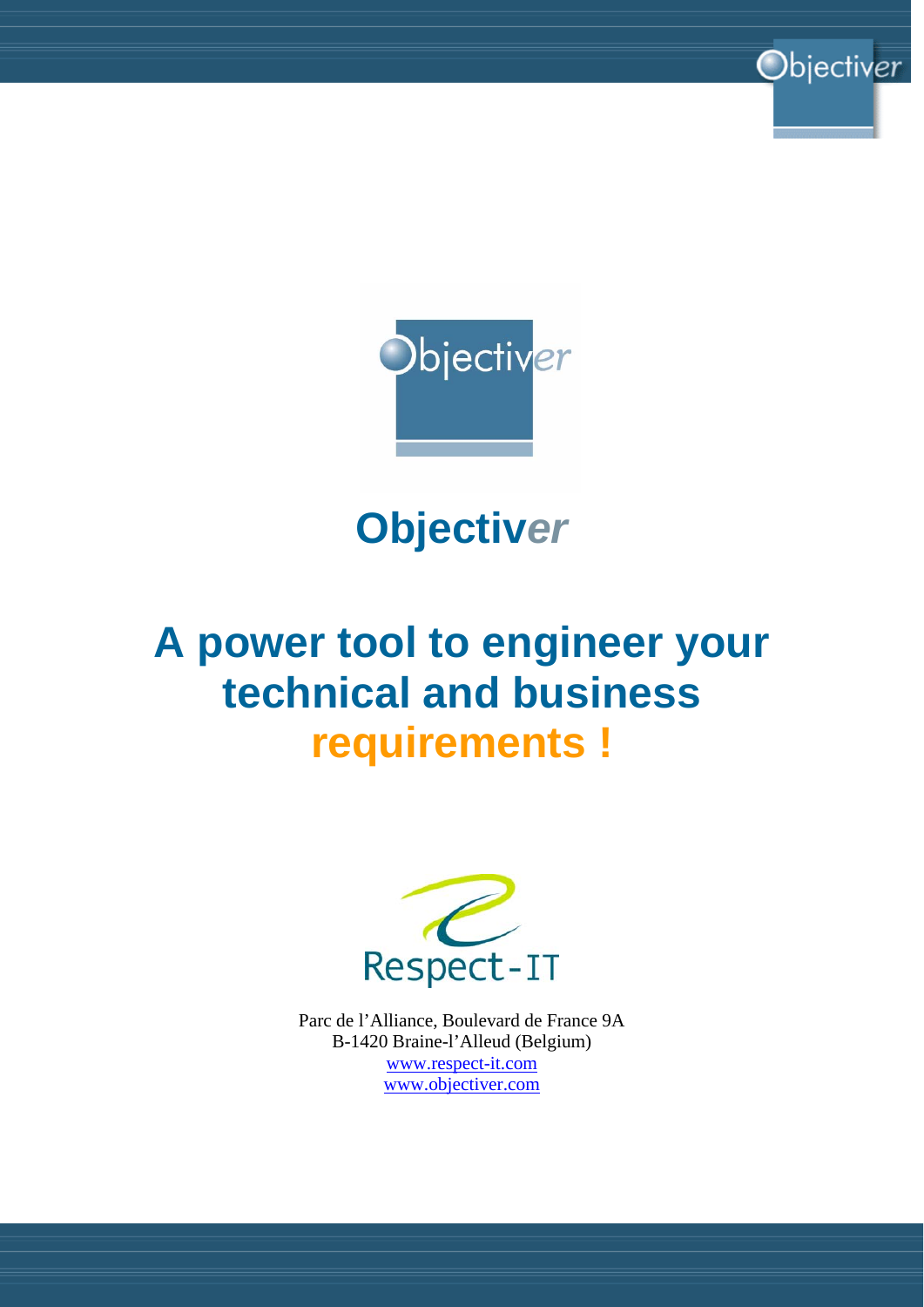

Objectiver

**Objectiv***er*

# **A power tool to engineer your technical and business requirements !**



Parc de l'Alliance, Boulevard de France 9A B-1420 Braine-l'Alleud (Belgium) www.respect-it.com www.objectiver.com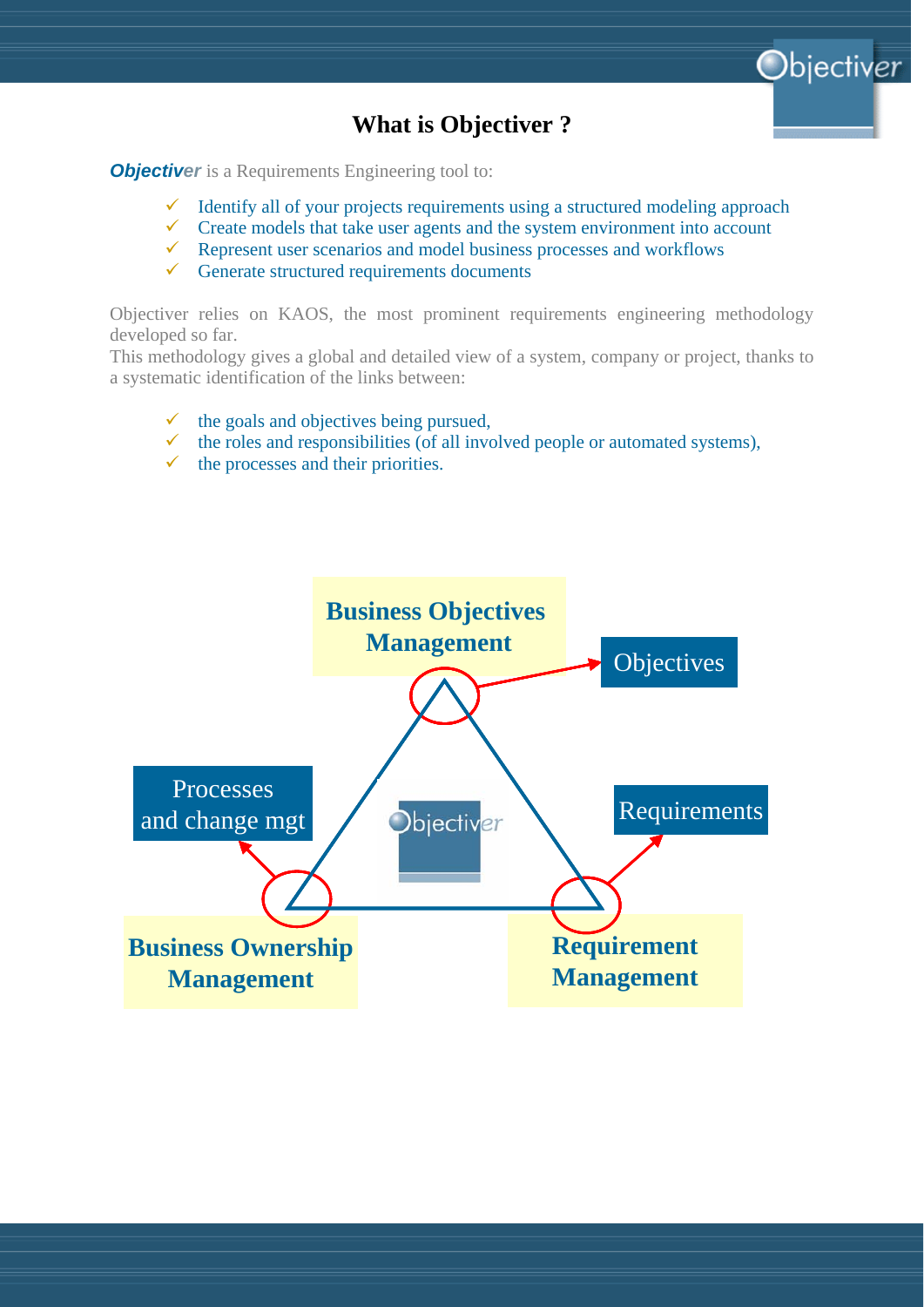

## **What is Objectiver ?**

*Objectiver* is a Requirements Engineering tool to:

- Identify all of your projects requirements using a structured modeling approach
- $\checkmark$  Create models that take user agents and the system environment into account
- 9 Represent user scenarios and model business processes and workflows
- $\checkmark$  Generate structured requirements documents

Objectiver relies on KAOS, the most prominent requirements engineering methodology developed so far.

This methodology gives a global and detailed view of a system, company or project, thanks to a systematic identification of the links between:

- the goals and objectives being pursued,
- 9 the roles and responsibilities (of all involved people or automated systems),
- the processes and their priorities.

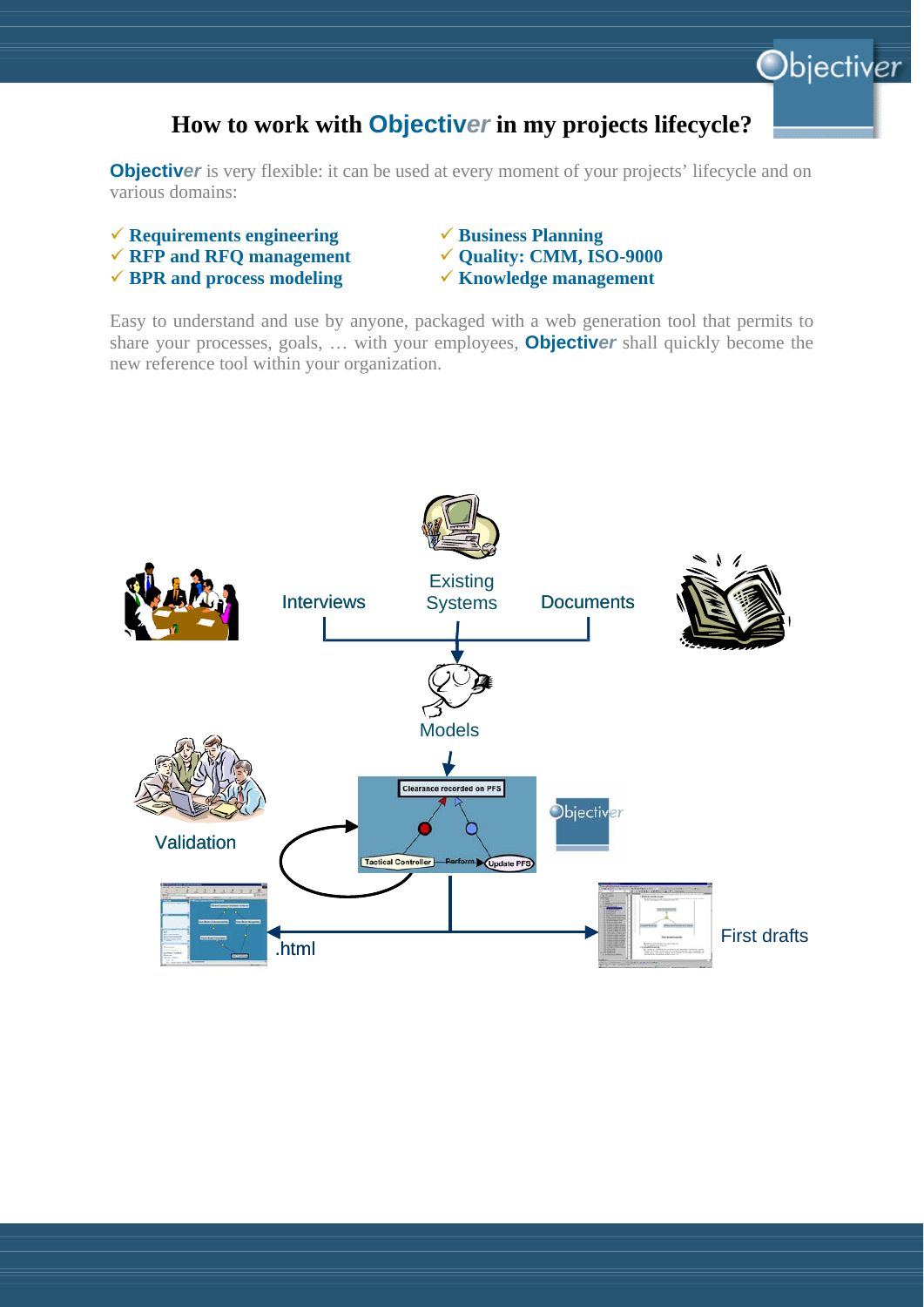# **How to work with Objectiv***er* **in my projects lifecycle?**

**Objectiver** is very flexible: it can be used at every moment of your projects' lifecycle and on various domains:

- 9 **Requirements engineering** 9 **Business Planning**
- **√ RFP and RFQ management**  $\checkmark$  **Quality: CMM, ISO-9000**
- **√ BPR and process modeling**  $\checkmark$  **Knowledge management**
- 
- 

Objectiver

Easy to understand and use by anyone, packaged with a web generation tool that permits to share your processes, goals, … with your employees, **Objectiv***er* shall quickly become the new reference tool within your organization.

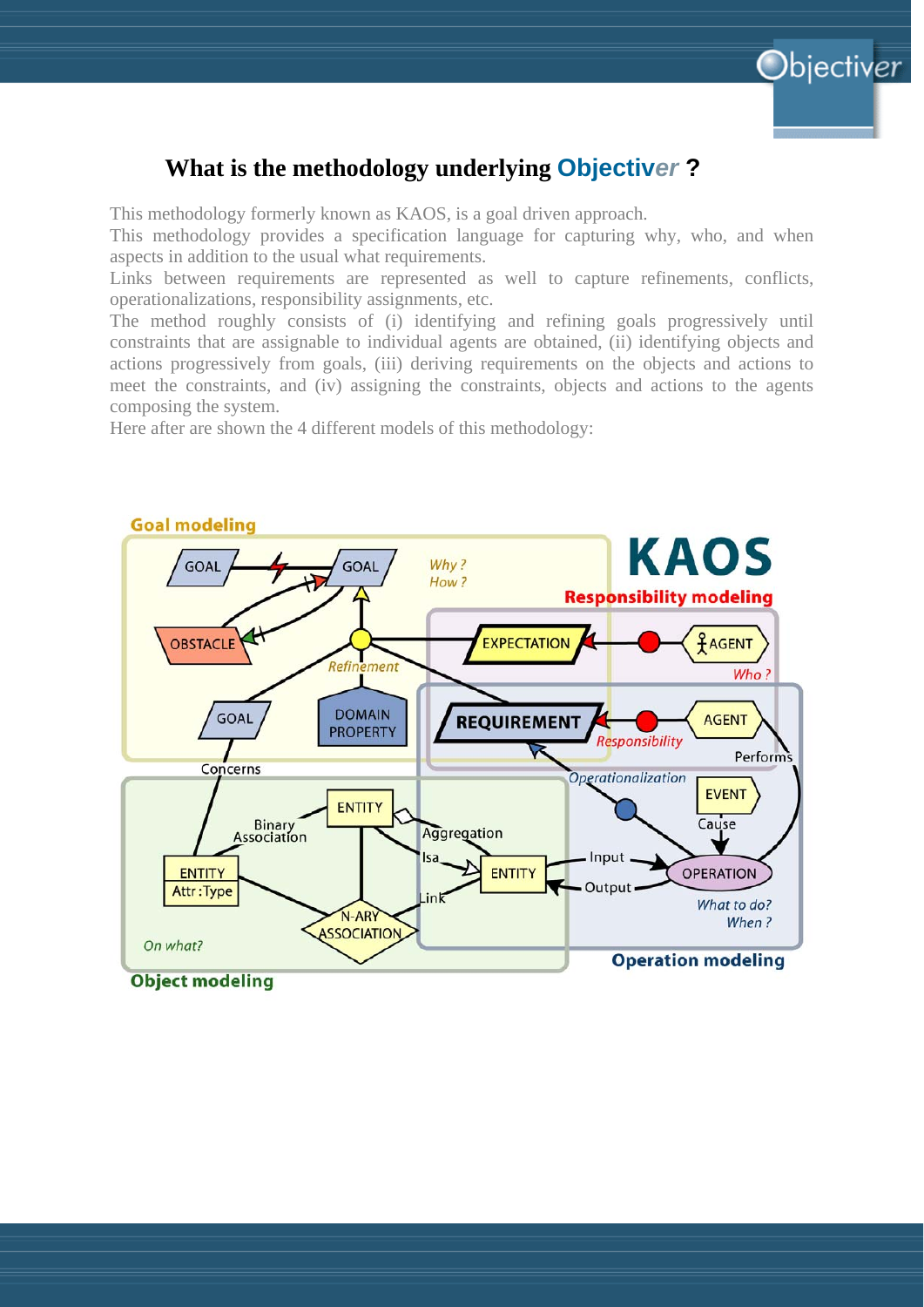

## **What is the methodology underlying Objectiv***er* **?**

This methodology formerly known as KAOS, is a goal driven approach.

This methodology provides a specification language for capturing why, who, and when aspects in addition to the usual what requirements.

Links between requirements are represented as well to capture refinements, conflicts, operationalizations, responsibility assignments, etc.

The method roughly consists of (i) identifying and refining goals progressively until constraints that are assignable to individual agents are obtained, (ii) identifying objects and actions progressively from goals, (iii) deriving requirements on the objects and actions to meet the constraints, and (iv) assigning the constraints, objects and actions to the agents composing the system.

Here after are shown the 4 different models of this methodology:

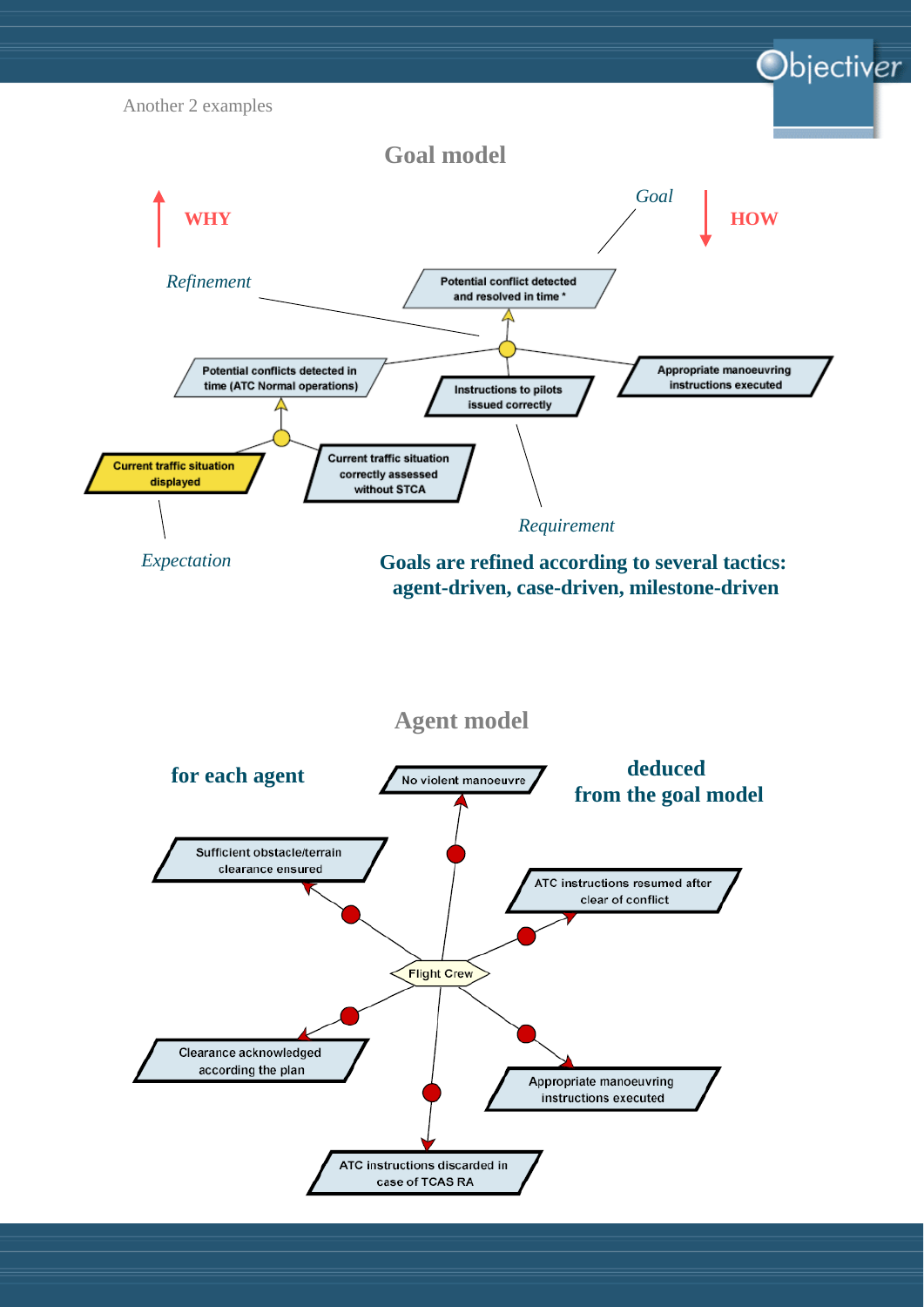

#### **Agent model**

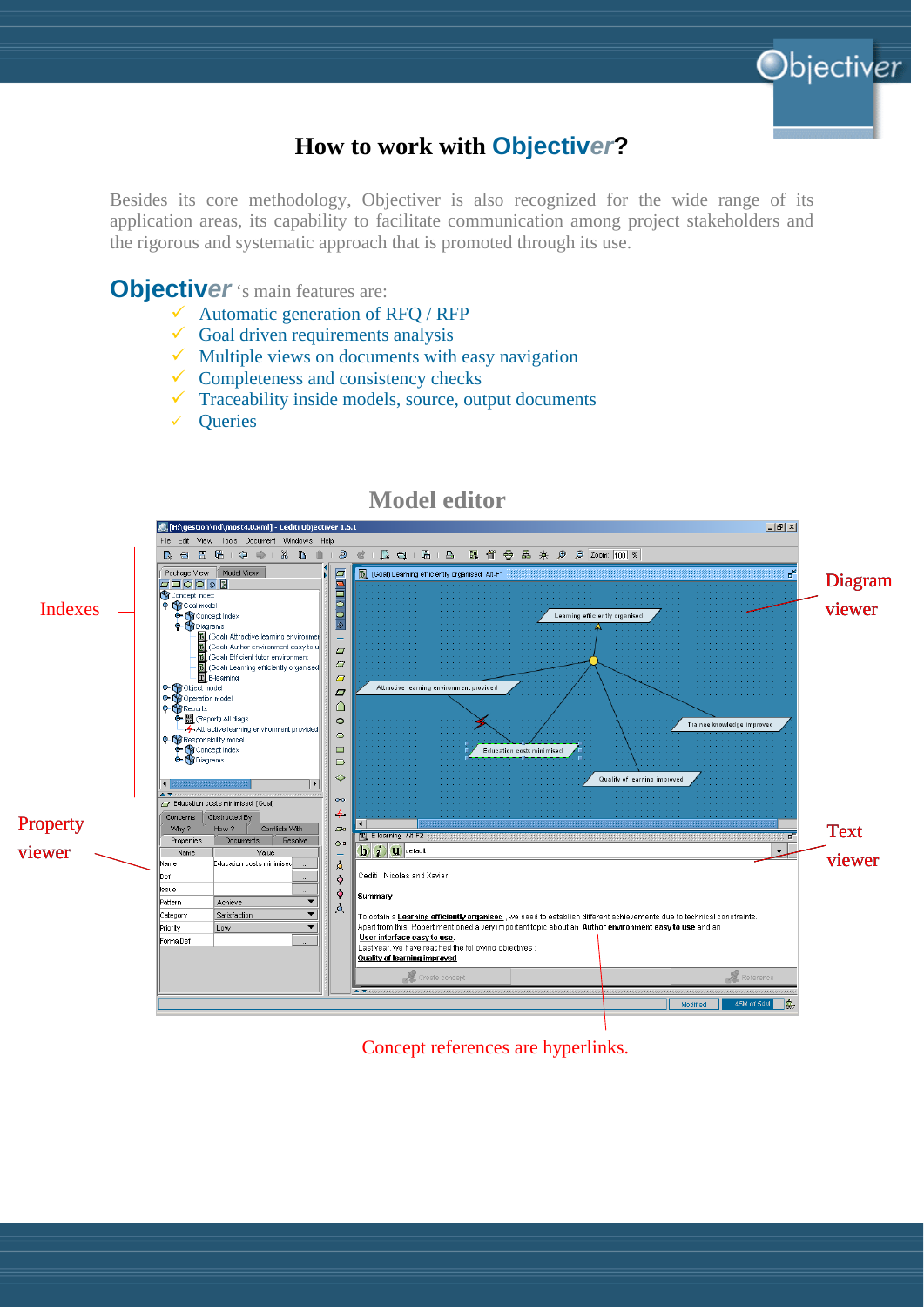

Objectiver

Besides its core methodology, Objectiver is also recognized for the wide range of its application areas, its capability to facilitate communication among project stakeholders and the rigorous and systematic approach that is promoted through its use.

**Objectiver** 's main features are:

- $\checkmark$  Automatic generation of RFQ / RFP
- $\checkmark$  Goal driven requirements analysis
- Multiple views on documents with easy navigation
- Completeness and consistency checks
- Traceability inside models, source, output documents
- **Oueries**



**Model editor** 

Concept references are hyperlinks.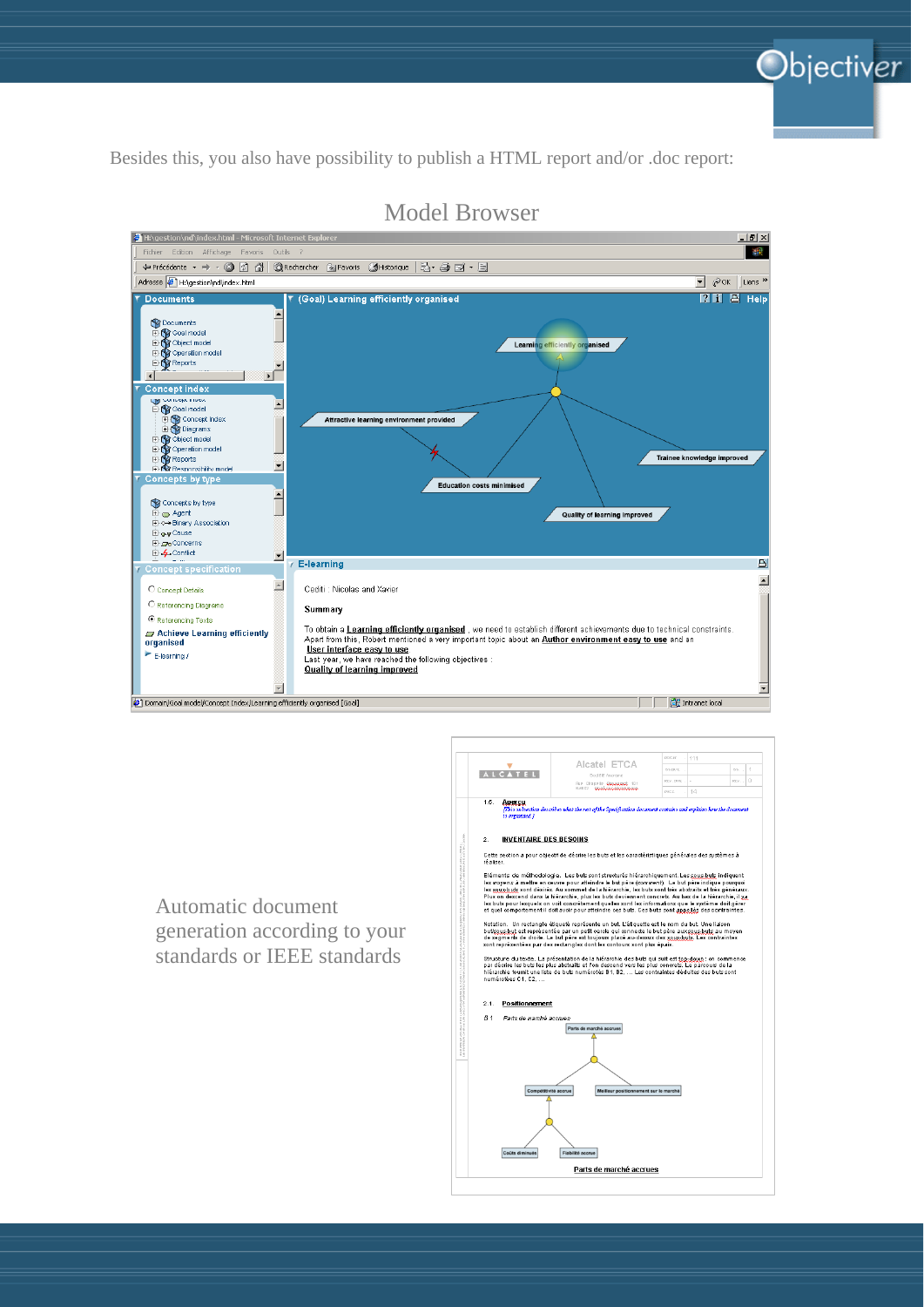

Besides this, you also have possibility to publish a HTML report and/or .doc report:



Model Browser



Automatic document generation according to your standards or IEEE standards